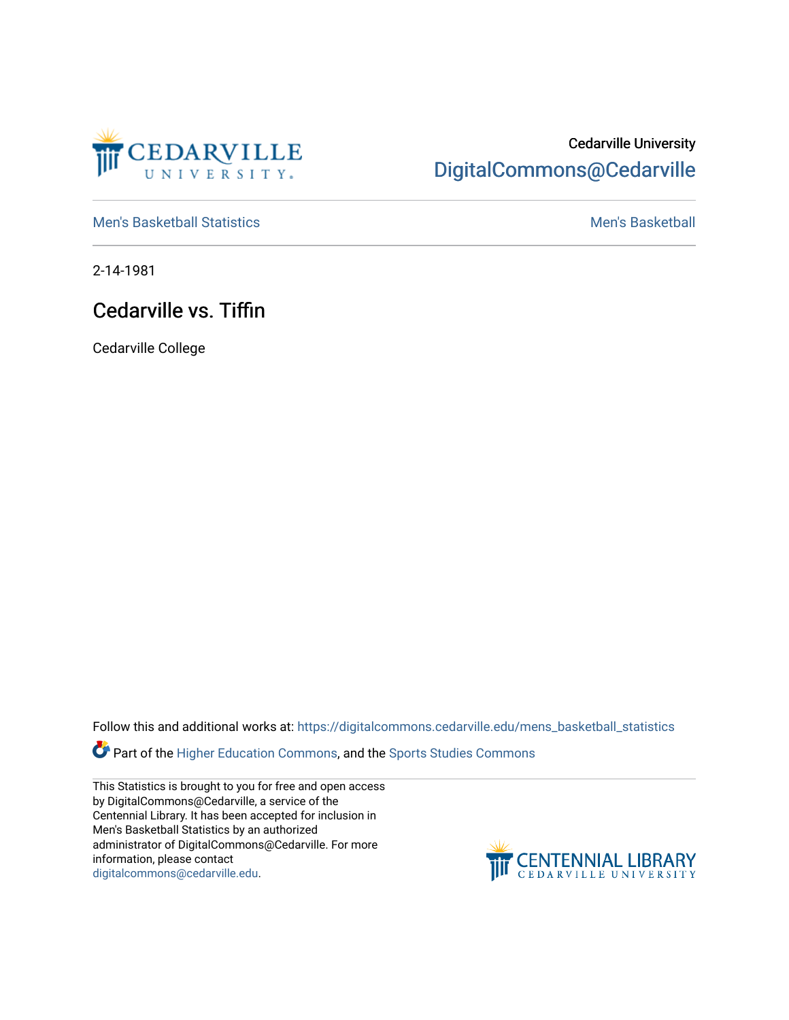

## Cedarville University [DigitalCommons@Cedarville](https://digitalcommons.cedarville.edu/)

[Men's Basketball Statistics](https://digitalcommons.cedarville.edu/mens_basketball_statistics) [Men's Basketball](https://digitalcommons.cedarville.edu/mens_basketball) 

2-14-1981

## Cedarville vs. Tiffin

Cedarville College

Follow this and additional works at: [https://digitalcommons.cedarville.edu/mens\\_basketball\\_statistics](https://digitalcommons.cedarville.edu/mens_basketball_statistics?utm_source=digitalcommons.cedarville.edu%2Fmens_basketball_statistics%2F452&utm_medium=PDF&utm_campaign=PDFCoverPages) 

Part of the [Higher Education Commons,](http://network.bepress.com/hgg/discipline/1245?utm_source=digitalcommons.cedarville.edu%2Fmens_basketball_statistics%2F452&utm_medium=PDF&utm_campaign=PDFCoverPages) and the Sports Studies Commons

This Statistics is brought to you for free and open access by DigitalCommons@Cedarville, a service of the Centennial Library. It has been accepted for inclusion in Men's Basketball Statistics by an authorized administrator of DigitalCommons@Cedarville. For more information, please contact [digitalcommons@cedarville.edu](mailto:digitalcommons@cedarville.edu).